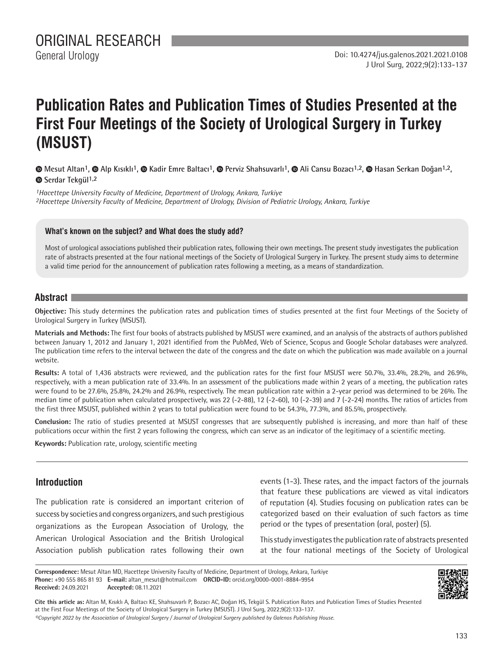# **Publication Rates and Publication Times of Studies Presented at the First Four Meetings of the Society of Urological Surgery in Turkey (MSUST)**

**Mesut Altan1,Alp Kısıklı1, Kadir Emre Baltacı1, Perviz Shahsuvarlı1,Ali Cansu Bozacı1,2, Hasan Serkan Doğan1,2, Serdar Tekgül1,2**

*1Hacettepe University Faculty of Medicine, Department of Urology, Ankara, Turkiye 2Hacettepe University Faculty of Medicine, Department of Urology, Division of Pediatric Urology, Ankara, Turkiye*

#### **What's known on the subject? and What does the study add?**

Most of urological associations published their publication rates, following their own meetings. The present study investigates the publication rate of abstracts presented at the four national meetings of the Society of Urological Surgery in Turkey. The present study aims to determine a valid time period for the announcement of publication rates following a meeting, as a means of standardization.

## **Abstract**

**Objective:** This study determines the publication rates and publication times of studies presented at the first four Meetings of the Society of Urological Surgery in Turkey (MSUST).

**Materials and Methods:** The first four books of abstracts published by MSUST were examined, and an analysis of the abstracts of authors published between January 1, 2012 and January 1, 2021 identified from the PubMed, Web of Science, Scopus and Google Scholar databases were analyzed. The publication time refers to the interval between the date of the congress and the date on which the publication was made available on a journal website.

**Results:** A total of 1,436 abstracts were reviewed, and the publication rates for the first four MSUST were 50.7%, 33.4%, 28.2%, and 26.9%, respectively, with a mean publication rate of 33.4%. In an assessment of the publications made within 2 years of a meeting, the publication rates were found to be 27.6%, 25.8%, 24.2% and 26.9%, respectively. The mean publication rate within a 2-year period was determined to be 26%. The median time of publication when calculated prospectively, was 22 (-2-88), 12 (-2-60), 10 (-2-39) and 7 (-2-24) months. The ratios of articles from the first three MSUST, published within 2 years to total publication were found to be 54.3%, 77.3%, and 85.5%, prospectively.

**Conclusion:** The ratio of studies presented at MSUST congresses that are subsequently published is increasing, and more than half of these publications occur within the first 2 years following the congress, which can serve as an indicator of the legitimacy of a scientific meeting.

**Keywords:** Publication rate, urology, scientific meeting

## **Introduction**

The publication rate is considered an important criterion of success by societies and congress organizers, and such prestigious organizations as the European Association of Urology, the American Urological Association and the British Urological Association publish publication rates following their own events (1-3). These rates, and the impact factors of the journals that feature these publications are viewed as vital indicators of reputation (4). Studies focusing on publication rates can be categorized based on their evaluation of such factors as time period or the types of presentation (oral, poster) (5).

This study investigates the publication rate of abstracts presented at the four national meetings of the Society of Urological

**Correspondence:** Mesut Altan MD, Hacettepe University Faculty of Medicine, Department of Urology, Ankara, Turkiye **Phone:** +90 555 865 81 93 **E-mail:** altan\_mesut@hotmail.com **ORCID-ID:** orcid.org/0000-0001-8884-9954 **Received:** 24.09.2021 **Accepted:** 08.11.2021



**Cite this article as:** Altan M, Kısıklı A, Baltacı KE, Shahsuvarlı P, Bozacı AC, Doğan HS, Tekgül S. Publication Rates and Publication Times of Studies Presented at the First Four Meetings of the Society of Urological Surgery in Turkey (MSUST). J Urol Surg, 2022;9(2):133-137.

*©Copyright 2022 by the Association of Urological Surgery / Journal of Urological Surgery published by Galenos Publishing House.*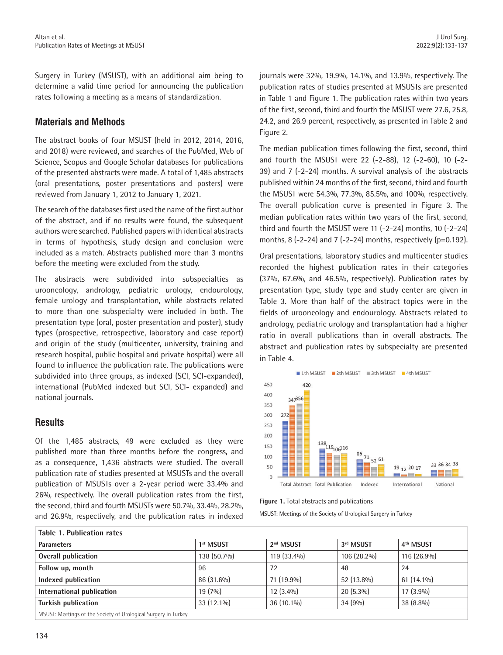Surgery in Turkey (MSUST), with an additional aim being to determine a valid time period for announcing the publication rates following a meeting as a means of standardization.

# **Materials and Methods**

The abstract books of four MSUST (held in 2012, 2014, 2016, and 2018) were reviewed, and searches of the PubMed, Web of Science, Scopus and Google Scholar databases for publications of the presented abstracts were made. A total of 1,485 abstracts (oral presentations, poster presentations and posters) were reviewed from January 1, 2012 to January 1, 2021.

The search of the databases first used the name of the first author of the abstract, and if no results were found, the subsequent authors were searched. Published papers with identical abstracts in terms of hypothesis, study design and conclusion were included as a match. Abstracts published more than 3 months before the meeting were excluded from the study.

The abstracts were subdivided into subspecialties as urooncology, andrology, pediatric urology, endourology, female urology and transplantation, while abstracts related to more than one subspecialty were included in both. The presentation type (oral, poster presentation and poster), study types (prospective, retrospective, laboratory and case report) and origin of the study (multicenter, university, training and research hospital, public hospital and private hospital) were all found to influence the publication rate. The publications were subdivided into three groups, as indexed (SCI, SCI-expanded), international (PubMed indexed but SCI, SCI- expanded) and national journals.

# **Results**

Of the 1,485 abstracts, 49 were excluded as they were published more than three months before the congress, and as a consequence, 1,436 abstracts were studied. The overall publication rate of studies presented at MSUSTs and the overall publication of MSUSTs over a 2-year period were 33.4% and 26%, respectively. The overall publication rates from the first, the second, third and fourth MSUSTs were 50.7%, 33.4%, 28.2%, and 26.9%, respectively, and the publication rates in indexed journals were 32%, 19.9%, 14.1%, and 13.9%, respectively. The publication rates of studies presented at MSUSTs are presented in Table 1 and Figure 1. The publication rates within two years of the first, second, third and fourth the MSUST were 27.6, 25.8, 24.2, and 26.9 percent, respectively, as presented in Table 2 and Figure 2.

The median publication times following the first, second, third and fourth the MSUST were 22 (-2-88), 12 (-2-60), 10 (-2- 39) and 7 (-2-24) months. A survival analysis of the abstracts published within 24 months of the first, second, third and fourth the MSUST were 54.3%, 77.3%, 85.5%, and 100%, respectively. The overall publication curve is presented in Figure 3. The median publication rates within two years of the first, second, third and fourth the MSUST were 11 (-2-24) months, 10 (-2-24) months, 8  $(-2-24)$  and 7  $(-2-24)$  months, respectively  $(p=0.192)$ .

Oral presentations, laboratory studies and multicenter studies recorded the highest publication rates in their categories (37%, 67.6%, and 46.5%, respectively). Publication rates by presentation type, study type and study center are given in Table 3. More than half of the abstract topics were in the fields of urooncology and endourology. Abstracts related to andrology, pediatric urology and transplantation had a higher ratio in overall publications than in overall abstracts. The abstract and publication rates by subspecialty are presented in Table 4.



**Figure 1.** Total abstracts and publications

MSUST: Meetings of the Society of Urological Surgery in Turkey

| <b>Table 1. Publication rates</b>                              |                       |                       |             |                       |  |  |
|----------------------------------------------------------------|-----------------------|-----------------------|-------------|-----------------------|--|--|
| <b>Parameters</b>                                              | 1 <sup>st</sup> MSUST | 2 <sup>nd</sup> MSUST | 3rd MSUST   | 4 <sup>th</sup> MSUST |  |  |
| <b>Overall publication</b>                                     | 138 (50.7%)           | 119 (33.4%)           | 106 (28.2%) | 116 (26.9%)           |  |  |
| Follow up, month                                               | 96                    | 72                    | 48          | 24                    |  |  |
| Indexed publication                                            | 86 (31.6%)            | 71 (19.9%)            | 52 (13.8%)  | $61(14.1\%)$          |  |  |
| International publication                                      | $19(7\%)$             | $12(3.4\%)$           | $20(5.3\%)$ | $17(3.9\%)$           |  |  |
| <b>Turkish publication</b>                                     | 33 (12.1%)            | 36 (10.1%)            | 34(9%)      | 38 (8.8%)             |  |  |
| MSUST: Meetings of the Society of Urological Surgery in Turkey |                       |                       |             |                       |  |  |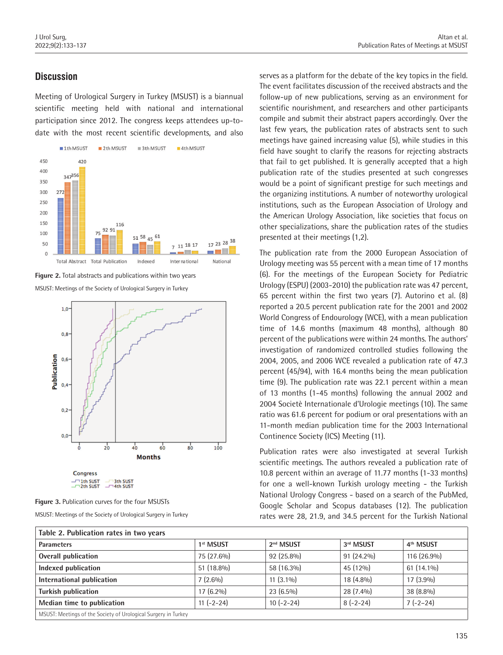# **Discussion**

Meeting of Urological Surgery in Turkey (MSUST) is a biannual scientific meeting held with national and international participation since 2012. The congress keeps attendees up-todate with the most recent scientific developments, and also







**Figure 3.** Publication curves for the four MSUSTs MSUST: Meetings of the Society of Urological Surgery in Turkey

serves as a platform for the debate of the key topics in the field. The event facilitates discussion of the received abstracts and the follow-up of new publications, serving as an environment for scientific nourishment, and researchers and other participants compile and submit their abstract papers accordingly. Over the last few years, the publication rates of abstracts sent to such meetings have gained increasing value (5), while studies in this field have sought to clarify the reasons for rejecting abstracts that fail to get published. It is generally accepted that a high publication rate of the studies presented at such congresses would be a point of significant prestige for such meetings and the organizing institutions. A number of noteworthy urological institutions, such as the European Association of Urology and the American Urology Association, like societies that focus on other specializations, share the publication rates of the studies presented at their meetings (1,2).

The publication rate from the 2000 European Association of Urology meeting was 55 percent with a mean time of 17 months (6). For the meetings of the European Society for Pediatric Urology (ESPU) (2003-2010) the publication rate was 47 percent, 65 percent within the first two years (7). Autorino et al. (8) reported a 20.5 percent publication rate for the 2001 and 2002 World Congress of Endourology (WCE), with a mean publication time of 14.6 months (maximum 48 months), although 80 percent of the publications were within 24 months. The authors' investigation of randomized controlled studies following the 2004, 2005, and 2006 WCE revealed a publication rate of 47.3 percent (45/94), with 16.4 months being the mean publication time (9). The publication rate was 22.1 percent within a mean of 13 months (1-45 months) following the annual 2002 and 2004 Societè Internationale d'Urologie meetings (10). The same ratio was 61.6 percent for podium or oral presentations with an 11-month median publication time for the 2003 International Continence Society (ICS) Meeting (11).

Publication rates were also investigated at several Turkish scientific meetings. The authors revealed a publication rate of 10.8 percent within an average of 11.77 months (1-33 months) for one a well-known Turkish urology meeting - the Turkish National Urology Congress - based on a search of the PubMed, Google Scholar and Scopus databases (12). The publication rates were 28, 21.9, and 34.5 percent for the Turkish National

| Table 2. Publication rates in two years                        |                       |                       |              |                       |  |  |
|----------------------------------------------------------------|-----------------------|-----------------------|--------------|-----------------------|--|--|
| <b>Parameters</b>                                              | 1 <sup>st</sup> MSUST | 2 <sup>nd</sup> MSUST | 3rd MSUST    | 4 <sup>th</sup> MSUST |  |  |
| Overall publication                                            | 75 (27.6%)            | 92 (25.8%)            | $91(24.2\%)$ | 116 (26.9%)           |  |  |
| Indexed publication                                            | $51(18.8\%)$          | 58 (16.3%)            | 45 (12%)     | $61(14.1\%)$          |  |  |
| International publication                                      | $7(2.6\%)$            | $11(3.1\%)$           | 18 (4.8%)    | $17(3.9\%)$           |  |  |
| Turkish publication                                            | $17(6.2\%)$           | $23(6.5\%)$           | 28 (7.4%)    | 38 (8.8%)             |  |  |
| Median time to publication                                     | $11 (-2 - 24)$        | $10(-2-24)$           | $8(-2-24)$   | $7(-2-24)$            |  |  |
| MSUST: Meetings of the Society of Urological Surgery in Turkey |                       |                       |              |                       |  |  |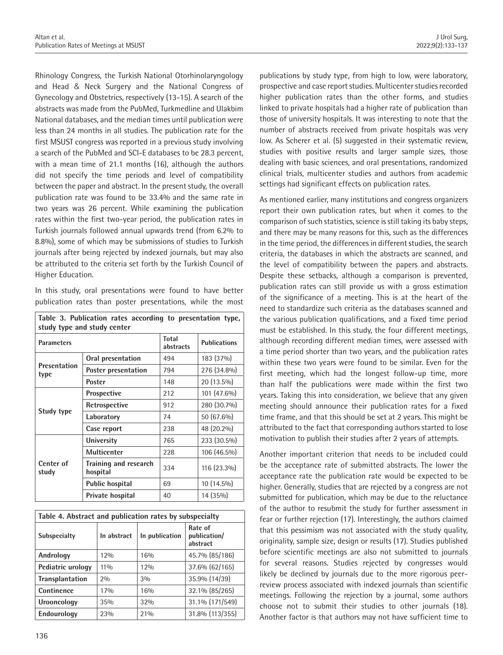Rhinology Congress, the Turkish National Otorhinolaryngology and Head & Neck Surgery and the National Congress of Gynecology and Obstetrics, respectively (13-15). A search of the abstracts was made from the PubMed, Turkmedline and Ulakbim National databases, and the median times until publication were less than 24 months in all studies. The publication rate for the first MSUST congress was reported in a previous study involving a search of the PubMed and SCI-E databases to be 28.3 percent, with a mean time of 21.1 months (16), although the authors did not specify the time periods and level of compatibility between the paper and abstract. In the present study, the overall publication rate was found to be 33.4% and the same rate in two years was 26 percent. While examining the publication rates within the first two-year period, the publication rates in Turkish journals followed annual upwards trend (from 6.2% to 8.8%), some of which may be submissions of studies to Turkish journals after being rejected by indexed journals, but may also be attributed to the criteria set forth by the Turkish Council of Higher Education.

In this study, oral presentations were found to have better publication rates than poster presentations, while the most

| Table 3. Publication rates according to presentation type,<br>study type and study center |                                   |                           |                     |  |
|-------------------------------------------------------------------------------------------|-----------------------------------|---------------------------|---------------------|--|
| <b>Parameters</b>                                                                         |                                   | <b>Total</b><br>abstracts | <b>Publications</b> |  |
| Presentation<br>type                                                                      | Oral presentation                 | 494                       | 183 (37%)           |  |
|                                                                                           | Poster presentation               | 794                       | 276 (34.8%)         |  |
|                                                                                           | Poster                            | 148                       | 20 (13.5%)          |  |
| Study type                                                                                | <b>Prospective</b>                | 212                       | 101 (47.6%)         |  |
|                                                                                           | Retrospective                     | 912                       | 280 (30.7%)         |  |
|                                                                                           | Laboratory                        | 74                        | 50 (67.6%)          |  |
|                                                                                           | Case report                       | 238                       | 48 (20.2%)          |  |
| Center of<br>study                                                                        | <b>University</b>                 | 765                       | 233 (30.5%)         |  |
|                                                                                           | <b>Multicenter</b>                | 228                       | 106 (46.5%)         |  |
|                                                                                           | Training and research<br>hospital | 334                       | 116 (23.3%)         |  |
|                                                                                           | <b>Public hospital</b>            | 69                        | 10 (14.5%)          |  |
|                                                                                           | Private hospital                  | 40                        | 14 (35%)            |  |

| Table 4. Abstract and publication rates by subspecialty |             |                |                                     |  |  |
|---------------------------------------------------------|-------------|----------------|-------------------------------------|--|--|
| <b>Subspecialty</b>                                     | In abstract | In publication | Rate of<br>publication/<br>abstract |  |  |
| Andrology                                               | 12%         | 16%            | 45.7% (85/186)                      |  |  |
| Pediatric urology                                       | $11\%$      | 12%            | 37.6% (62/165)                      |  |  |
| <b>Transplantation</b>                                  | 20/0        | 3%             | 35.9% (14/39)                       |  |  |
| Continence                                              | 17%         | 16%            | 32.1% (85/265)                      |  |  |
| Urooncology                                             | 35%         | 32%            | 31.1% (171/549)                     |  |  |
| Endourology                                             | 23%         | 21%            | 31.8% (113/355)                     |  |  |

publications by study type, from high to low, were laboratory, prospective and case report studies. Multicenter studies recorded higher publication rates than the other forms, and studies linked to private hospitals had a higher rate of publication than those of university hospitals. It was interesting to note that the number of abstracts received from private hospitals was very low. As Scherer et al. (5) suggested in their systematic review, studies with positive results and larger sample sizes, those dealing with basic sciences, and oral presentations, randomized clinical trials, multicenter studies and authors from academic settings had significant effects on publication rates.

As mentioned earlier, many institutions and congress organizers report their own publication rates, but when it comes to the comparison of such statistics, science is still taking its baby steps, and there may be many reasons for this, such as the differences in the time period, the differences in different studies, the search criteria, the databases in which the abstracts are scanned, and the level of compatibility between the papers and abstracts. Despite these setbacks, although a comparison is prevented, publication rates can still provide us with a gross estimation of the significance of a meeting. This is at the heart of the need to standardize such criteria as the databases scanned and the various publication qualifications, and a fixed time period must be established. In this study, the four different meetings, although recording different median times, were assessed with a time period shorter than two years, and the publication rates within these two years were found to be similar. Even for the first meeting, which had the longest follow-up time, more than half the publications were made within the first two years. Taking this into consideration, we believe that any given meeting should announce their publication rates for a fixed time frame, and that this should be set at 2 years. This might be attributed to the fact that corresponding authors started to lose motivation to publish their studies after 2 years of attempts.

Another important criterion that needs to be included could be the acceptance rate of submitted abstracts. The lower the acceptance rate the publication rate would be expected to be higher. Generally, studies that are rejected by a congress are not submitted for publication, which may be due to the reluctance of the author to resubmit the study for further assessment in fear or further rejection (17). Interestingly, the authors claimed that this pessimism was not associated with the study quality, originality, sample size, design or results (17). Studies published before scientific meetings are also not submitted to journals for several reasons. Studies rejected by congresses would likely be declined by journals due to the more rigorous peerreview process associated with indexed journals than scientific meetings. Following the rejection by a journal, some authors choose not to submit their studies to other journals (18). Another factor is that authors may not have sufficient time to